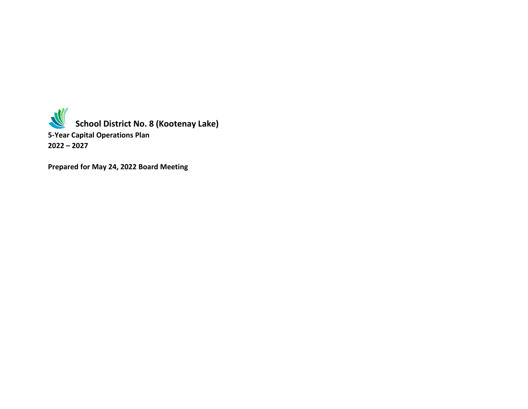**School District No. 8 (Kootenay Lake) 5-Year Capital Operations Plan 2022 – 2027**

**Prepared for May 24, 2022 Board Meeting**